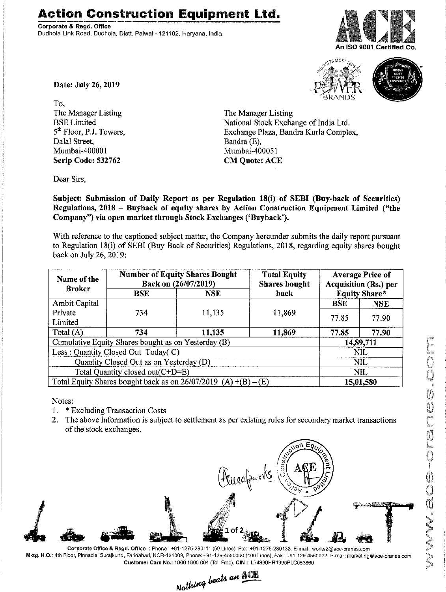## **Action Construction Equipment Ltd.**

Corporate & Regd. Office Dudhola Link Road, Dudhola, Distt. Palwal-121102, Haryana, India







Date: July 26, 2019

To, The Manager Listing BSE Limited 5<sup>th</sup> Floor, P.J. Towers, Dalal Street, Mumbai-400001 Scrip Code: 532762

The Manager Listing National Stock Exchange of India Ltd. Exchange Plaza, Bandra Kurla Complex, Bandra (E), Mumbai-400051 **CM Quote: ACE** 

Dear Sirs,

Subject: Submission of Daily Report as per Regulation 18(i) of SEBI (Buy-back of Securities) Regulations, 2018 - Buyback of equity shares by Action Construction Equipment Limited ("the Company") via open market through Stock Exchanges ('Buyback').

With reference to the captioned subject matter, the Company hereunder submits the daily report pursuant to Regulation 18(i) of SEBI (Buy Back of Securities) Regulations, 2018, regarding equity shares bought back on July 26, 2019:

| Name of the<br><b>Broker</b>                                      | <b>Number of Equity Shares Bought</b><br>Back on (26/07/2019) |        | <b>Total Equity</b><br><b>Shares bought</b> | <b>Average Price of</b><br>Acquisition (Rs.) per |            |
|-------------------------------------------------------------------|---------------------------------------------------------------|--------|---------------------------------------------|--------------------------------------------------|------------|
|                                                                   | <b>BSE</b>                                                    | NSE.   | <b>Equity Share*</b><br>back                |                                                  |            |
| <b>Ambit Capital</b>                                              |                                                               |        |                                             | <b>BSE</b>                                       | <b>NSE</b> |
| Private                                                           | 734                                                           | 11,135 | 11,869                                      | 77.85                                            | 77.90      |
| Limited                                                           |                                                               |        |                                             |                                                  |            |
| Total (A)                                                         | 734                                                           | 11,135 | 11,869                                      | 77.85                                            | 77.90      |
| Cumulative Equity Shares bought as on Yesterday (B)               |                                                               |        |                                             | 14,89,711                                        |            |
| Less : Quantity Closed Out Today(C)                               |                                                               |        |                                             | NIL                                              |            |
| Quantity Closed Out as on Yesterday (D)                           |                                                               |        |                                             | <b>NIL</b>                                       |            |
| Total Quantity closed out(C+D=E)                                  |                                                               |        |                                             | NIL                                              |            |
| Total Equity Shares bought back as on $26/07/2019$ (A) +(B) – (E) |                                                               |        |                                             | 15,01,580                                        |            |

Notes:

- 1. \* Excluding Transaction Costs
- 2. The above information is subject to settlement as per existing rules for secondary market transactions of the stock exchanges.



Corporate Office & Regd. Office: Phone: +91-1275-280111(50 Lines), Fax:+91-1275-280133, E-mail: works2@ace-cranes.com Mktg. H.Q.: 4th Floor, Pinnacle,Surajkund, Faridabad, NCR-121009. Phone: +91-129-4550000 (100 Lines), Fax: +91-129-4550022, E-mail:marketing@ace-cranes.com

Customer Care No.: 1800 1800 004 (Toll Free), CIN: L74899HR1995PLC053860<br>Mathima beats an  $\frac{\text{min}}{\text{min}}$